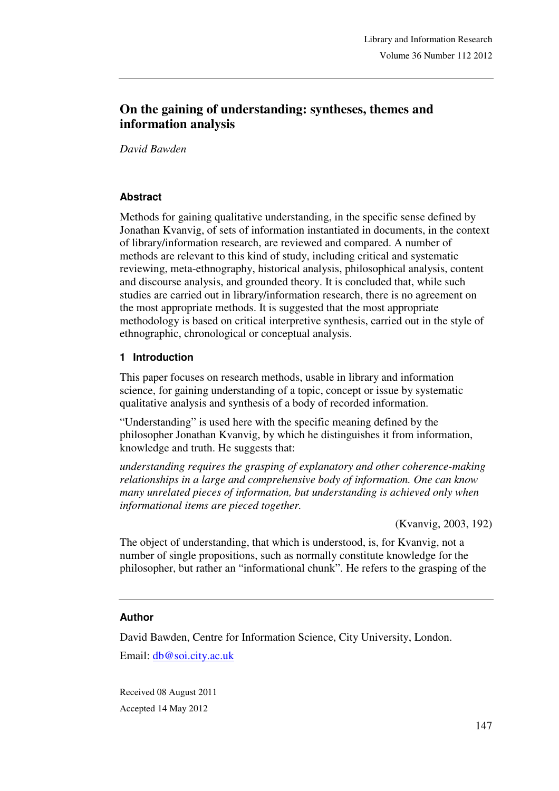# **On the gaining of understanding: syntheses, themes and information analysis**

*David Bawden*

# **Abstract**

Methods for gaining qualitative understanding, in the specific sense defined by Jonathan Kvanvig, of sets of information instantiated in documents, in the context of library/information research, are reviewed and compared. A number of methods are relevant to this kind of study, including critical and systematic reviewing, meta-ethnography, historical analysis, philosophical analysis, content and discourse analysis, and grounded theory. It is concluded that, while such studies are carried out in library/information research, there is no agreement on the most appropriate methods. It is suggested that the most appropriate methodology is based on critical interpretive synthesis, carried out in the style of ethnographic, chronological or conceptual analysis.

### **1 Introduction**

This paper focuses on research methods, usable in library and information science, for gaining understanding of a topic, concept or issue by systematic qualitative analysis and synthesis of a body of recorded information.

"Understanding" is used here with the specific meaning defined by the philosopher Jonathan Kvanvig, by which he distinguishes it from information, knowledge and truth. He suggests that:

*understanding requires the grasping of explanatory and other coherence-making relationships in a large and comprehensive body of information. One can know many unrelated pieces of information, but understanding is achieved only when informational items are pieced together.* 

(Kvanvig, 2003, 192)

The object of understanding, that which is understood, is, for Kvanvig, not a number of single propositions, such as normally constitute knowledge for the philosopher, but rather an "informational chunk". He refers to the grasping of the

### **Author**

David Bawden, Centre for Information Science, City University, London. Email: db@soi.city.ac.uk

Received 08 August 2011 Accepted 14 May 2012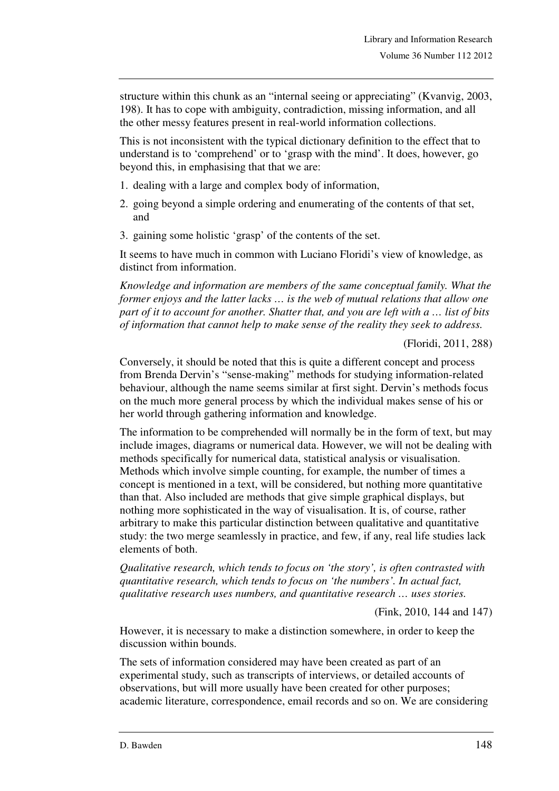structure within this chunk as an "internal seeing or appreciating" (Kvanvig, 2003, 198). It has to cope with ambiguity, contradiction, missing information, and all the other messy features present in real-world information collections.

This is not inconsistent with the typical dictionary definition to the effect that to understand is to 'comprehend' or to 'grasp with the mind'. It does, however, go beyond this, in emphasising that that we are:

- 1. dealing with a large and complex body of information,
- 2. going beyond a simple ordering and enumerating of the contents of that set, and
- 3. gaining some holistic 'grasp' of the contents of the set.

It seems to have much in common with Luciano Floridi's view of knowledge, as distinct from information.

*Knowledge and information are members of the same conceptual family. What the former enjoys and the latter lacks … is the web of mutual relations that allow one part of it to account for another. Shatter that, and you are left with a … list of bits of information that cannot help to make sense of the reality they seek to address.* 

(Floridi, 2011, 288)

Conversely, it should be noted that this is quite a different concept and process from Brenda Dervin's "sense-making" methods for studying information-related behaviour, although the name seems similar at first sight. Dervin's methods focus on the much more general process by which the individual makes sense of his or her world through gathering information and knowledge.

The information to be comprehended will normally be in the form of text, but may include images, diagrams or numerical data. However, we will not be dealing with methods specifically for numerical data, statistical analysis or visualisation. Methods which involve simple counting, for example, the number of times a concept is mentioned in a text, will be considered, but nothing more quantitative than that. Also included are methods that give simple graphical displays, but nothing more sophisticated in the way of visualisation. It is, of course, rather arbitrary to make this particular distinction between qualitative and quantitative study: the two merge seamlessly in practice, and few, if any, real life studies lack elements of both.

*Qualitative research, which tends to focus on 'the story', is often contrasted with quantitative research, which tends to focus on 'the numbers'. In actual fact, qualitative research uses numbers, and quantitative research … uses stories.* 

(Fink, 2010, 144 and 147)

However, it is necessary to make a distinction somewhere, in order to keep the discussion within bounds.

The sets of information considered may have been created as part of an experimental study, such as transcripts of interviews, or detailed accounts of observations, but will more usually have been created for other purposes; academic literature, correspondence, email records and so on. We are considering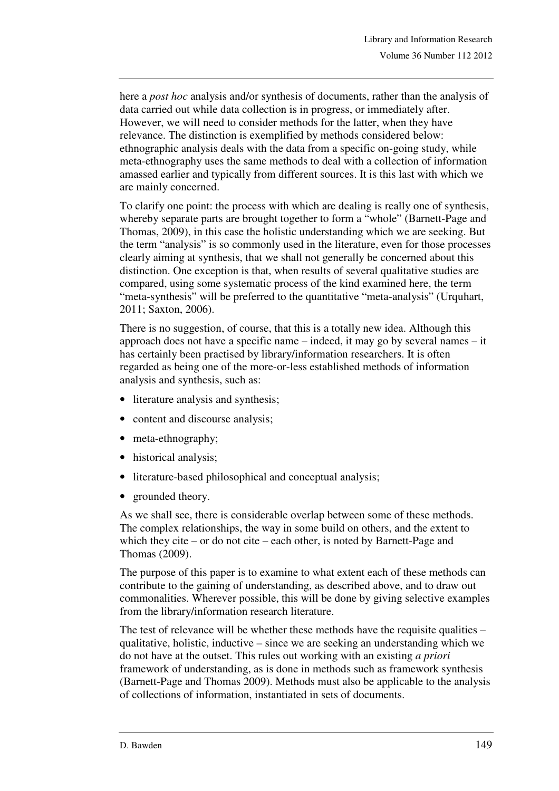here a *post hoc* analysis and/or synthesis of documents, rather than the analysis of data carried out while data collection is in progress, or immediately after. However, we will need to consider methods for the latter, when they have relevance. The distinction is exemplified by methods considered below: ethnographic analysis deals with the data from a specific on-going study, while meta-ethnography uses the same methods to deal with a collection of information amassed earlier and typically from different sources. It is this last with which we are mainly concerned.

To clarify one point: the process with which are dealing is really one of synthesis, whereby separate parts are brought together to form a "whole" (Barnett-Page and Thomas, 2009), in this case the holistic understanding which we are seeking. But the term "analysis" is so commonly used in the literature, even for those processes clearly aiming at synthesis, that we shall not generally be concerned about this distinction. One exception is that, when results of several qualitative studies are compared, using some systematic process of the kind examined here, the term "meta-synthesis" will be preferred to the quantitative "meta-analysis" (Urquhart, 2011; Saxton, 2006).

There is no suggestion, of course, that this is a totally new idea. Although this approach does not have a specific name – indeed, it may go by several names – it has certainly been practised by library/information researchers. It is often regarded as being one of the more-or-less established methods of information analysis and synthesis, such as:

- literature analysis and synthesis;
- content and discourse analysis;
- meta-ethnography;
- historical analysis;
- literature-based philosophical and conceptual analysis;
- grounded theory.

As we shall see, there is considerable overlap between some of these methods. The complex relationships, the way in some build on others, and the extent to which they cite – or do not cite – each other, is noted by Barnett-Page and Thomas (2009).

The purpose of this paper is to examine to what extent each of these methods can contribute to the gaining of understanding, as described above, and to draw out commonalities. Wherever possible, this will be done by giving selective examples from the library/information research literature.

The test of relevance will be whether these methods have the requisite qualities – qualitative, holistic, inductive – since we are seeking an understanding which we do not have at the outset. This rules out working with an existing *a priori*  framework of understanding, as is done in methods such as framework synthesis (Barnett-Page and Thomas 2009). Methods must also be applicable to the analysis of collections of information, instantiated in sets of documents.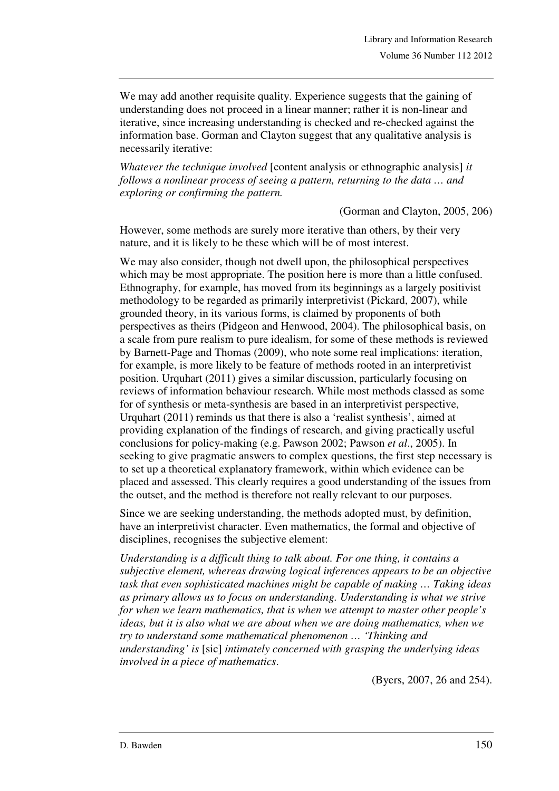We may add another requisite quality. Experience suggests that the gaining of understanding does not proceed in a linear manner; rather it is non-linear and iterative, since increasing understanding is checked and re-checked against the information base. Gorman and Clayton suggest that any qualitative analysis is necessarily iterative:

*Whatever the technique involved* [content analysis or ethnographic analysis] *it follows a nonlinear process of seeing a pattern, returning to the data … and exploring or confirming the pattern.*

(Gorman and Clayton, 2005, 206)

However, some methods are surely more iterative than others, by their very nature, and it is likely to be these which will be of most interest.

We may also consider, though not dwell upon, the philosophical perspectives which may be most appropriate. The position here is more than a little confused. Ethnography, for example, has moved from its beginnings as a largely positivist methodology to be regarded as primarily interpretivist (Pickard, 2007), while grounded theory, in its various forms, is claimed by proponents of both perspectives as theirs (Pidgeon and Henwood, 2004). The philosophical basis, on a scale from pure realism to pure idealism, for some of these methods is reviewed by Barnett-Page and Thomas (2009), who note some real implications: iteration, for example, is more likely to be feature of methods rooted in an interpretivist position. Urquhart (2011) gives a similar discussion, particularly focusing on reviews of information behaviour research. While most methods classed as some for of synthesis or meta-synthesis are based in an interpretivist perspective, Urquhart (2011) reminds us that there is also a 'realist synthesis', aimed at providing explanation of the findings of research, and giving practically useful conclusions for policy-making (e.g. Pawson 2002; Pawson *et al*., 2005). In seeking to give pragmatic answers to complex questions, the first step necessary is to set up a theoretical explanatory framework, within which evidence can be placed and assessed. This clearly requires a good understanding of the issues from the outset, and the method is therefore not really relevant to our purposes.

Since we are seeking understanding, the methods adopted must, by definition, have an interpretivist character. Even mathematics, the formal and objective of disciplines, recognises the subjective element:

*Understanding is a difficult thing to talk about. For one thing, it contains a subjective element, whereas drawing logical inferences appears to be an objective task that even sophisticated machines might be capable of making … Taking ideas as primary allows us to focus on understanding. Understanding is what we strive for when we learn mathematics, that is when we attempt to master other people's ideas, but it is also what we are about when we are doing mathematics, when we try to understand some mathematical phenomenon … 'Thinking and understanding' is* [sic] *intimately concerned with grasping the underlying ideas involved in a piece of mathematics*.

(Byers, 2007, 26 and 254).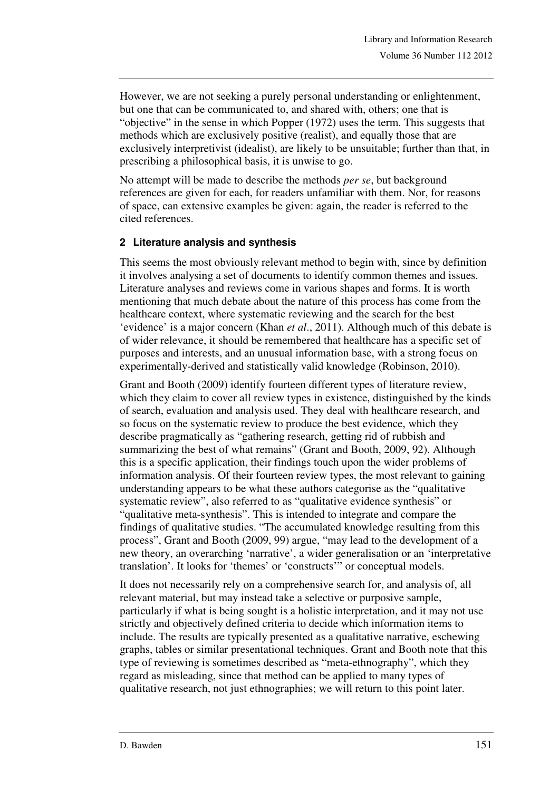However, we are not seeking a purely personal understanding or enlightenment, but one that can be communicated to, and shared with, others; one that is "objective" in the sense in which Popper (1972) uses the term. This suggests that methods which are exclusively positive (realist), and equally those that are exclusively interpretivist (idealist), are likely to be unsuitable; further than that, in prescribing a philosophical basis, it is unwise to go.

No attempt will be made to describe the methods *per se*, but background references are given for each, for readers unfamiliar with them. Nor, for reasons of space, can extensive examples be given: again, the reader is referred to the cited references.

### **2 Literature analysis and synthesis**

This seems the most obviously relevant method to begin with, since by definition it involves analysing a set of documents to identify common themes and issues. Literature analyses and reviews come in various shapes and forms. It is worth mentioning that much debate about the nature of this process has come from the healthcare context, where systematic reviewing and the search for the best 'evidence' is a major concern (Khan *et al*., 2011). Although much of this debate is of wider relevance, it should be remembered that healthcare has a specific set of purposes and interests, and an unusual information base, with a strong focus on experimentally-derived and statistically valid knowledge (Robinson, 2010).

Grant and Booth (2009) identify fourteen different types of literature review, which they claim to cover all review types in existence, distinguished by the kinds of search, evaluation and analysis used. They deal with healthcare research, and so focus on the systematic review to produce the best evidence, which they describe pragmatically as "gathering research, getting rid of rubbish and summarizing the best of what remains" (Grant and Booth, 2009, 92). Although this is a specific application, their findings touch upon the wider problems of information analysis. Of their fourteen review types, the most relevant to gaining understanding appears to be what these authors categorise as the "qualitative systematic review", also referred to as "qualitative evidence synthesis" or "qualitative meta-synthesis". This is intended to integrate and compare the findings of qualitative studies. "The accumulated knowledge resulting from this process", Grant and Booth (2009, 99) argue, "may lead to the development of a new theory, an overarching 'narrative', a wider generalisation or an 'interpretative translation'. It looks for 'themes' or 'constructs'" or conceptual models.

It does not necessarily rely on a comprehensive search for, and analysis of, all relevant material, but may instead take a selective or purposive sample, particularly if what is being sought is a holistic interpretation, and it may not use strictly and objectively defined criteria to decide which information items to include. The results are typically presented as a qualitative narrative, eschewing graphs, tables or similar presentational techniques. Grant and Booth note that this type of reviewing is sometimes described as "meta-ethnography", which they regard as misleading, since that method can be applied to many types of qualitative research, not just ethnographies; we will return to this point later.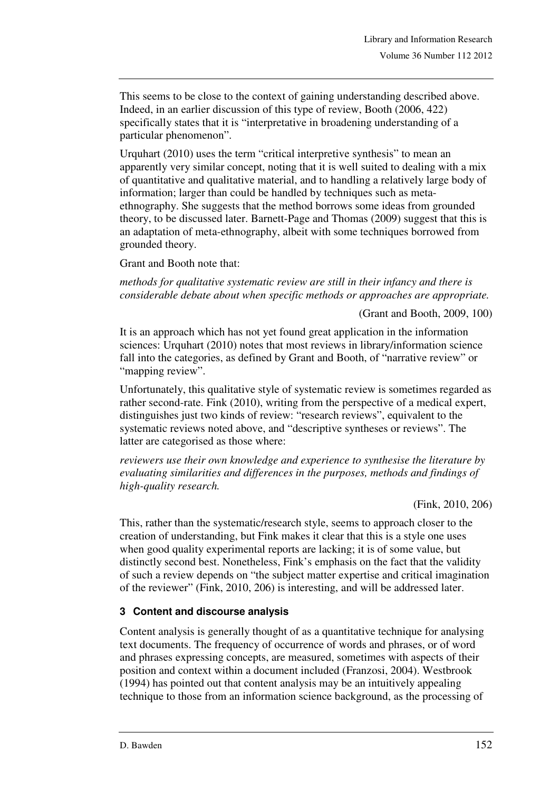This seems to be close to the context of gaining understanding described above. Indeed, in an earlier discussion of this type of review, Booth (2006, 422) specifically states that it is "interpretative in broadening understanding of a particular phenomenon".

Urquhart (2010) uses the term "critical interpretive synthesis" to mean an apparently very similar concept, noting that it is well suited to dealing with a mix of quantitative and qualitative material, and to handling a relatively large body of information; larger than could be handled by techniques such as metaethnography. She suggests that the method borrows some ideas from grounded theory, to be discussed later. Barnett-Page and Thomas (2009) suggest that this is an adaptation of meta-ethnography, albeit with some techniques borrowed from grounded theory.

Grant and Booth note that:

*methods for qualitative systematic review are still in their infancy and there is considerable debate about when specific methods or approaches are appropriate.* 

(Grant and Booth, 2009, 100)

It is an approach which has not yet found great application in the information sciences: Urquhart (2010) notes that most reviews in library/information science fall into the categories, as defined by Grant and Booth, of "narrative review" or "mapping review".

Unfortunately, this qualitative style of systematic review is sometimes regarded as rather second-rate. Fink (2010), writing from the perspective of a medical expert, distinguishes just two kinds of review: "research reviews", equivalent to the systematic reviews noted above, and "descriptive syntheses or reviews". The latter are categorised as those where:

*reviewers use their own knowledge and experience to synthesise the literature by evaluating similarities and differences in the purposes, methods and findings of high-quality research.* 

(Fink, 2010, 206)

This, rather than the systematic/research style, seems to approach closer to the creation of understanding, but Fink makes it clear that this is a style one uses when good quality experimental reports are lacking; it is of some value, but distinctly second best. Nonetheless, Fink's emphasis on the fact that the validity of such a review depends on "the subject matter expertise and critical imagination of the reviewer" (Fink, 2010, 206) is interesting, and will be addressed later.

### **3 Content and discourse analysis**

Content analysis is generally thought of as a quantitative technique for analysing text documents. The frequency of occurrence of words and phrases, or of word and phrases expressing concepts, are measured, sometimes with aspects of their position and context within a document included (Franzosi, 2004). Westbrook (1994) has pointed out that content analysis may be an intuitively appealing technique to those from an information science background, as the processing of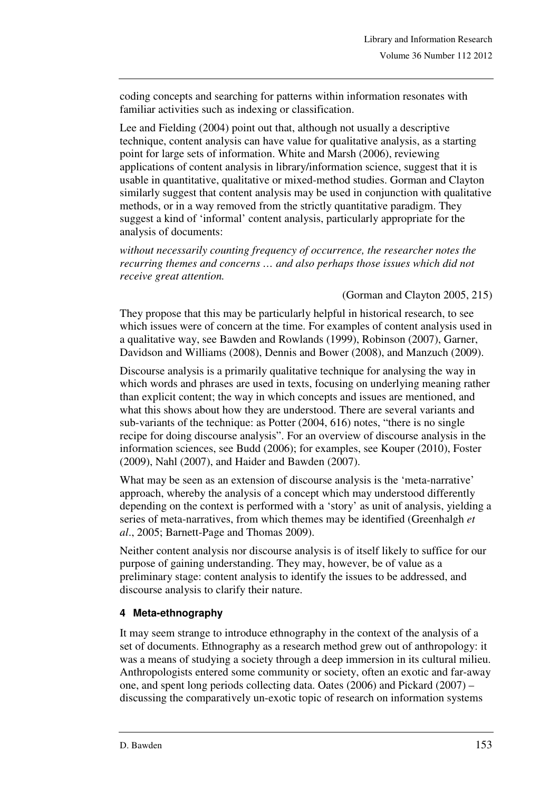coding concepts and searching for patterns within information resonates with familiar activities such as indexing or classification.

Lee and Fielding (2004) point out that, although not usually a descriptive technique, content analysis can have value for qualitative analysis, as a starting point for large sets of information. White and Marsh (2006), reviewing applications of content analysis in library/information science, suggest that it is usable in quantitative, qualitative or mixed-method studies. Gorman and Clayton similarly suggest that content analysis may be used in conjunction with qualitative methods, or in a way removed from the strictly quantitative paradigm. They suggest a kind of 'informal' content analysis, particularly appropriate for the analysis of documents:

*without necessarily counting frequency of occurrence, the researcher notes the recurring themes and concerns … and also perhaps those issues which did not receive great attention.* 

#### (Gorman and Clayton 2005, 215)

They propose that this may be particularly helpful in historical research, to see which issues were of concern at the time. For examples of content analysis used in a qualitative way, see Bawden and Rowlands (1999), Robinson (2007), Garner, Davidson and Williams (2008), Dennis and Bower (2008), and Manzuch (2009).

Discourse analysis is a primarily qualitative technique for analysing the way in which words and phrases are used in texts, focusing on underlying meaning rather than explicit content; the way in which concepts and issues are mentioned, and what this shows about how they are understood. There are several variants and sub-variants of the technique: as Potter (2004, 616) notes, "there is no single recipe for doing discourse analysis". For an overview of discourse analysis in the information sciences, see Budd (2006); for examples, see Kouper (2010), Foster (2009), Nahl (2007), and Haider and Bawden (2007).

What may be seen as an extension of discourse analysis is the 'meta-narrative' approach, whereby the analysis of a concept which may understood differently depending on the context is performed with a 'story' as unit of analysis, yielding a series of meta-narratives, from which themes may be identified (Greenhalgh *et al*., 2005; Barnett-Page and Thomas 2009).

Neither content analysis nor discourse analysis is of itself likely to suffice for our purpose of gaining understanding. They may, however, be of value as a preliminary stage: content analysis to identify the issues to be addressed, and discourse analysis to clarify their nature.

# **4 Meta-ethnography**

It may seem strange to introduce ethnography in the context of the analysis of a set of documents. Ethnography as a research method grew out of anthropology: it was a means of studying a society through a deep immersion in its cultural milieu. Anthropologists entered some community or society, often an exotic and far-away one, and spent long periods collecting data. Oates (2006) and Pickard (2007) – discussing the comparatively un-exotic topic of research on information systems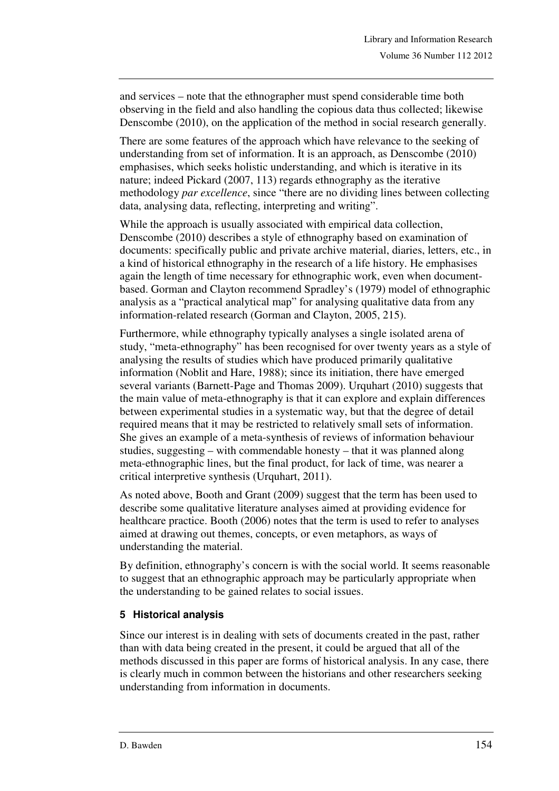and services – note that the ethnographer must spend considerable time both observing in the field and also handling the copious data thus collected; likewise Denscombe (2010), on the application of the method in social research generally.

There are some features of the approach which have relevance to the seeking of understanding from set of information. It is an approach, as Denscombe (2010) emphasises, which seeks holistic understanding, and which is iterative in its nature; indeed Pickard (2007, 113) regards ethnography as the iterative methodology *par excellence*, since "there are no dividing lines between collecting data, analysing data, reflecting, interpreting and writing".

While the approach is usually associated with empirical data collection, Denscombe (2010) describes a style of ethnography based on examination of documents: specifically public and private archive material, diaries, letters, etc., in a kind of historical ethnography in the research of a life history. He emphasises again the length of time necessary for ethnographic work, even when documentbased. Gorman and Clayton recommend Spradley's (1979) model of ethnographic analysis as a "practical analytical map" for analysing qualitative data from any information-related research (Gorman and Clayton, 2005, 215).

Furthermore, while ethnography typically analyses a single isolated arena of study, "meta-ethnography" has been recognised for over twenty years as a style of analysing the results of studies which have produced primarily qualitative information (Noblit and Hare, 1988); since its initiation, there have emerged several variants (Barnett-Page and Thomas 2009). Urquhart (2010) suggests that the main value of meta-ethnography is that it can explore and explain differences between experimental studies in a systematic way, but that the degree of detail required means that it may be restricted to relatively small sets of information. She gives an example of a meta-synthesis of reviews of information behaviour studies, suggesting – with commendable honesty – that it was planned along meta-ethnographic lines, but the final product, for lack of time, was nearer a critical interpretive synthesis (Urquhart, 2011).

As noted above, Booth and Grant (2009) suggest that the term has been used to describe some qualitative literature analyses aimed at providing evidence for healthcare practice. Booth (2006) notes that the term is used to refer to analyses aimed at drawing out themes, concepts, or even metaphors, as ways of understanding the material.

By definition, ethnography's concern is with the social world. It seems reasonable to suggest that an ethnographic approach may be particularly appropriate when the understanding to be gained relates to social issues.

### **5 Historical analysis**

Since our interest is in dealing with sets of documents created in the past, rather than with data being created in the present, it could be argued that all of the methods discussed in this paper are forms of historical analysis. In any case, there is clearly much in common between the historians and other researchers seeking understanding from information in documents.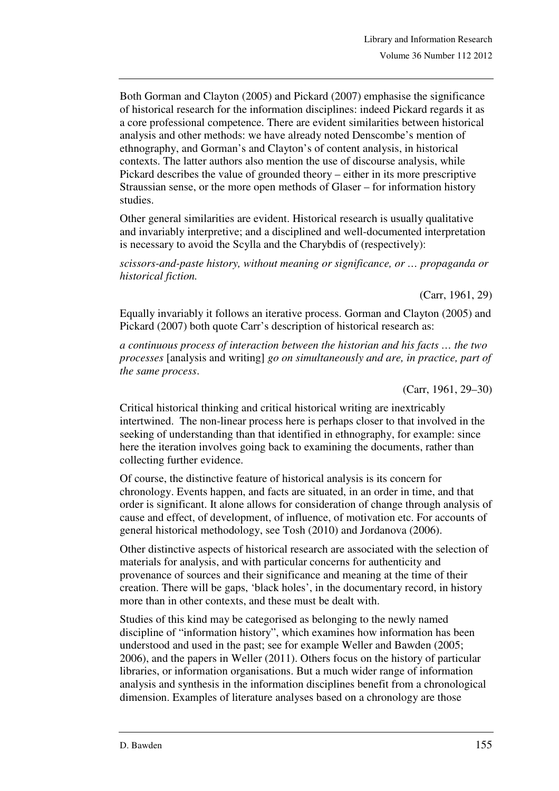Both Gorman and Clayton (2005) and Pickard (2007) emphasise the significance of historical research for the information disciplines: indeed Pickard regards it as a core professional competence. There are evident similarities between historical analysis and other methods: we have already noted Denscombe's mention of ethnography, and Gorman's and Clayton's of content analysis, in historical contexts. The latter authors also mention the use of discourse analysis, while Pickard describes the value of grounded theory – either in its more prescriptive Straussian sense, or the more open methods of Glaser – for information history studies.

Other general similarities are evident. Historical research is usually qualitative and invariably interpretive; and a disciplined and well-documented interpretation is necessary to avoid the Scylla and the Charybdis of (respectively):

*scissors-and-paste history, without meaning or significance, or … propaganda or historical fiction.* 

(Carr, 1961, 29)

Equally invariably it follows an iterative process. Gorman and Clayton (2005) and Pickard (2007) both quote Carr's description of historical research as:

*a continuous process of interaction between the historian and his facts … the two processes* [analysis and writing] *go on simultaneously and are, in practice, part of the same process*.

(Carr, 1961, 29–30)

Critical historical thinking and critical historical writing are inextricably intertwined. The non-linear process here is perhaps closer to that involved in the seeking of understanding than that identified in ethnography, for example: since here the iteration involves going back to examining the documents, rather than collecting further evidence.

Of course, the distinctive feature of historical analysis is its concern for chronology. Events happen, and facts are situated, in an order in time, and that order is significant. It alone allows for consideration of change through analysis of cause and effect, of development, of influence, of motivation etc. For accounts of general historical methodology, see Tosh (2010) and Jordanova (2006).

Other distinctive aspects of historical research are associated with the selection of materials for analysis, and with particular concerns for authenticity and provenance of sources and their significance and meaning at the time of their creation. There will be gaps, 'black holes', in the documentary record, in history more than in other contexts, and these must be dealt with.

Studies of this kind may be categorised as belonging to the newly named discipline of "information history", which examines how information has been understood and used in the past; see for example Weller and Bawden (2005; 2006), and the papers in Weller (2011). Others focus on the history of particular libraries, or information organisations. But a much wider range of information analysis and synthesis in the information disciplines benefit from a chronological dimension. Examples of literature analyses based on a chronology are those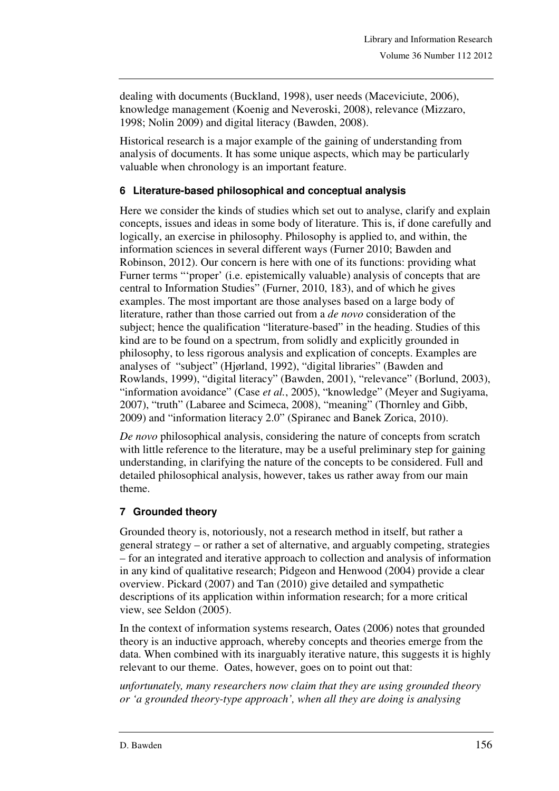dealing with documents (Buckland, 1998), user needs (Maceviciute, 2006), knowledge management (Koenig and Neveroski, 2008), relevance (Mizzaro, 1998; Nolin 2009) and digital literacy (Bawden, 2008).

Historical research is a major example of the gaining of understanding from analysis of documents. It has some unique aspects, which may be particularly valuable when chronology is an important feature.

# **6 Literature-based philosophical and conceptual analysis**

Here we consider the kinds of studies which set out to analyse, clarify and explain concepts, issues and ideas in some body of literature. This is, if done carefully and logically, an exercise in philosophy. Philosophy is applied to, and within, the information sciences in several different ways (Furner 2010; Bawden and Robinson, 2012). Our concern is here with one of its functions: providing what Furner terms "'proper' (i.e. epistemically valuable) analysis of concepts that are central to Information Studies" (Furner, 2010, 183), and of which he gives examples. The most important are those analyses based on a large body of literature, rather than those carried out from a *de novo* consideration of the subject; hence the qualification "literature-based" in the heading. Studies of this kind are to be found on a spectrum, from solidly and explicitly grounded in philosophy, to less rigorous analysis and explication of concepts. Examples are analyses of "subject" (Hjørland, 1992), "digital libraries" (Bawden and Rowlands, 1999), "digital literacy" (Bawden, 2001), "relevance" (Borlund, 2003), "information avoidance" (Case *et al.*, 2005), "knowledge" (Meyer and Sugiyama, 2007), "truth" (Labaree and Scimeca, 2008), "meaning" (Thornley and Gibb, 2009) and "information literacy 2.0" (Spiranec and Banek Zorica, 2010).

*De novo* philosophical analysis, considering the nature of concepts from scratch with little reference to the literature, may be a useful preliminary step for gaining understanding, in clarifying the nature of the concepts to be considered. Full and detailed philosophical analysis, however, takes us rather away from our main theme.

# **7 Grounded theory**

Grounded theory is, notoriously, not a research method in itself, but rather a general strategy – or rather a set of alternative, and arguably competing, strategies – for an integrated and iterative approach to collection and analysis of information in any kind of qualitative research; Pidgeon and Henwood (2004) provide a clear overview. Pickard (2007) and Tan (2010) give detailed and sympathetic descriptions of its application within information research; for a more critical view, see Seldon (2005).

In the context of information systems research, Oates (2006) notes that grounded theory is an inductive approach, whereby concepts and theories emerge from the data. When combined with its inarguably iterative nature, this suggests it is highly relevant to our theme. Oates, however, goes on to point out that:

*unfortunately, many researchers now claim that they are using grounded theory or 'a grounded theory-type approach', when all they are doing is analysing*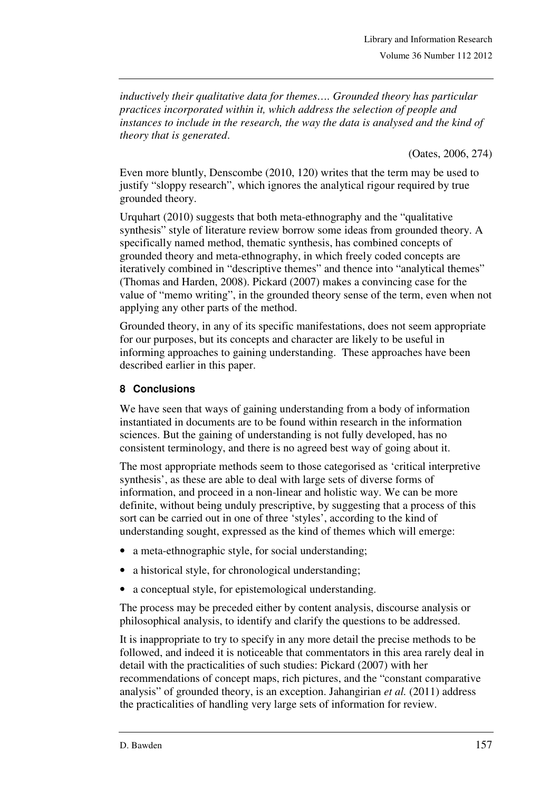*inductively their qualitative data for themes…. Grounded theory has particular practices incorporated within it, which address the selection of people and instances to include in the research, the way the data is analysed and the kind of theory that is generated*.

(Oates, 2006, 274)

Even more bluntly, Denscombe (2010, 120) writes that the term may be used to justify "sloppy research", which ignores the analytical rigour required by true grounded theory.

Urquhart (2010) suggests that both meta-ethnography and the "qualitative synthesis" style of literature review borrow some ideas from grounded theory. A specifically named method, thematic synthesis, has combined concepts of grounded theory and meta-ethnography, in which freely coded concepts are iteratively combined in "descriptive themes" and thence into "analytical themes" (Thomas and Harden, 2008). Pickard (2007) makes a convincing case for the value of "memo writing", in the grounded theory sense of the term, even when not applying any other parts of the method.

Grounded theory, in any of its specific manifestations, does not seem appropriate for our purposes, but its concepts and character are likely to be useful in informing approaches to gaining understanding. These approaches have been described earlier in this paper.

### **8 Conclusions**

We have seen that ways of gaining understanding from a body of information instantiated in documents are to be found within research in the information sciences. But the gaining of understanding is not fully developed, has no consistent terminology, and there is no agreed best way of going about it.

The most appropriate methods seem to those categorised as 'critical interpretive synthesis', as these are able to deal with large sets of diverse forms of information, and proceed in a non-linear and holistic way. We can be more definite, without being unduly prescriptive, by suggesting that a process of this sort can be carried out in one of three 'styles', according to the kind of understanding sought, expressed as the kind of themes which will emerge:

- a meta-ethnographic style, for social understanding;
- a historical style, for chronological understanding;
- a conceptual style, for epistemological understanding.

The process may be preceded either by content analysis, discourse analysis or philosophical analysis, to identify and clarify the questions to be addressed.

It is inappropriate to try to specify in any more detail the precise methods to be followed, and indeed it is noticeable that commentators in this area rarely deal in detail with the practicalities of such studies: Pickard (2007) with her recommendations of concept maps, rich pictures, and the "constant comparative analysis" of grounded theory, is an exception. Jahangirian *et al.* (2011) address the practicalities of handling very large sets of information for review.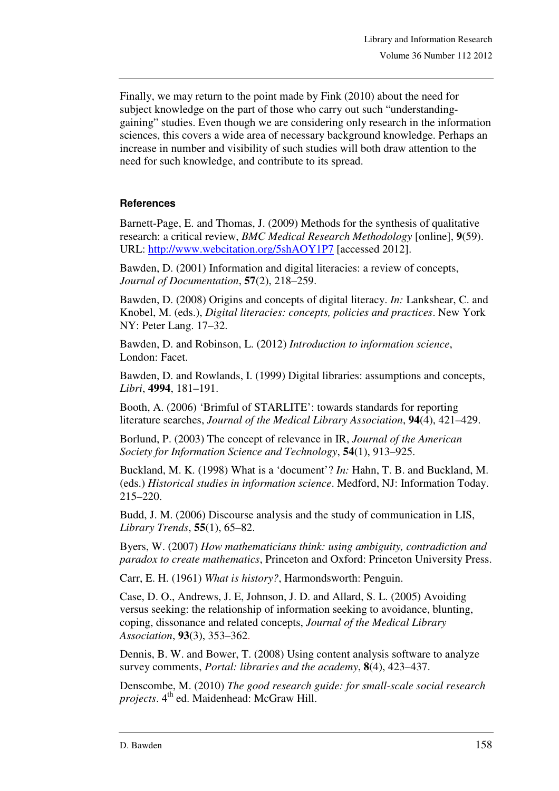Finally, we may return to the point made by Fink (2010) about the need for subject knowledge on the part of those who carry out such "understandinggaining" studies. Even though we are considering only research in the information sciences, this covers a wide area of necessary background knowledge. Perhaps an increase in number and visibility of such studies will both draw attention to the need for such knowledge, and contribute to its spread.

### **References**

Barnett-Page, E. and Thomas, J. (2009) Methods for the synthesis of qualitative research: a critical review, *BMC Medical Research Methodology* [online], **9**(59). URL: http://www.webcitation.org/5shAOY1P7 [accessed 2012].

Bawden, D. (2001) Information and digital literacies: a review of concepts, *Journal of Documentation*, **57**(2), 218–259.

Bawden, D. (2008) Origins and concepts of digital literacy. *In:* Lankshear, C. and Knobel, M. (eds.), *Digital literacies: concepts, policies and practices*. New York NY: Peter Lang. 17–32.

Bawden, D. and Robinson, L. (2012) *Introduction to information science*, London: Facet.

Bawden, D. and Rowlands, I. (1999) Digital libraries: assumptions and concepts, *Libri*, **4994**, 181–191.

Booth, A. (2006) 'Brimful of STARLITE': towards standards for reporting literature searches, *Journal of the Medical Library Association*, **94**(4), 421–429.

Borlund, P. (2003) The concept of relevance in IR, *Journal of the American Society for Information Science and Technology*, **54**(1), 913–925.

Buckland, M. K. (1998) What is a 'document'? *In:* Hahn, T. B. and Buckland, M. (eds.) *Historical studies in information science*. Medford, NJ: Information Today. 215–220.

Budd, J. M. (2006) Discourse analysis and the study of communication in LIS, *Library Trends*, **55**(1), 65–82.

Byers, W. (2007) *How mathematicians think: using ambiguity, contradiction and paradox to create mathematics*, Princeton and Oxford: Princeton University Press.

Carr, E. H. (1961) *What is history?*, Harmondsworth: Penguin.

Case, D. O., Andrews, J. E, Johnson, J. D. and Allard, S. L. (2005) Avoiding versus seeking: the relationship of information seeking to avoidance, blunting, coping, dissonance and related concepts, *Journal of the Medical Library Association*, **93**(3), 353–362.

Dennis, B. W. and Bower, T. (2008) Using content analysis software to analyze survey comments, *Portal: libraries and the academy*, **8**(4), 423–437.

Denscombe, M. (2010) *The good research guide: for small-scale social research projects*. 4<sup>th</sup> ed. Maidenhead: McGraw Hill.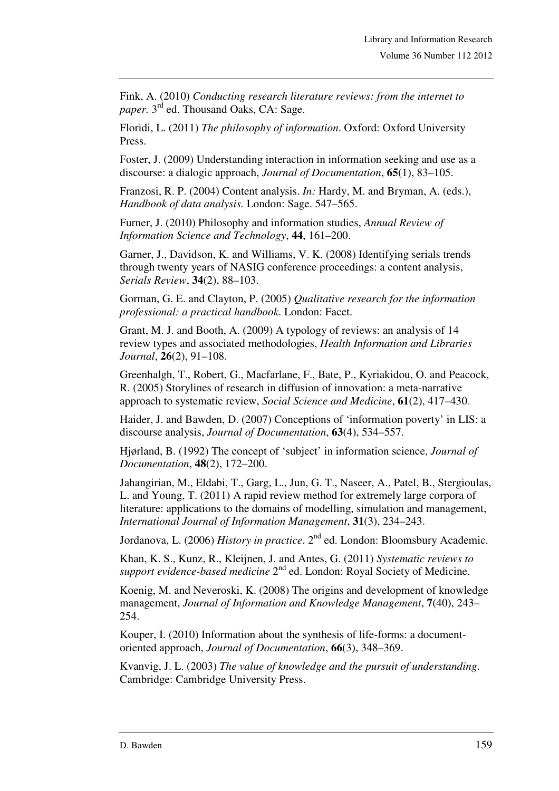Fink, A. (2010) *Conducting research literature reviews: from the internet to paper.* 3<sup>rd</sup> ed. Thousand Oaks, CA: Sage.

Floridi, L. (2011) *The philosophy of information*. Oxford: Oxford University Press.

Foster, J. (2009) Understanding interaction in information seeking and use as a discourse: a dialogic approach, *Journal of Documentation*, **65**(1), 83–105.

Franzosi, R. P. (2004) Content analysis. *In:* Hardy, M. and Bryman, A. (eds.), *Handbook of data analysis.* London: Sage. 547–565.

Furner, J. (2010) Philosophy and information studies, *Annual Review of Information Science and Technology*, **44**, 161–200.

Garner, J., Davidson, K. and Williams, V. K. (2008) Identifying serials trends through twenty years of NASIG conference proceedings: a content analysis, *Serials Review*, **34**(2), 88–103.

Gorman, G. E. and Clayton, P. (2005) *Qualitative research for the information professional: a practical handbook*. London: Facet.

Grant, M. J. and Booth, A. (2009) A typology of reviews: an analysis of 14 review types and associated methodologies, *Health Information and Libraries Journal*, **26**(2), 91–108.

Greenhalgh, T., Robert, G., Macfarlane, F., Bate, P., Kyriakidou, O. and Peacock, R. (2005) Storylines of research in diffusion of innovation: a meta-narrative approach to systematic review, *Social Science and Medicine*, **61**(2), 417–430.

Haider, J. and Bawden, D. (2007) Conceptions of 'information poverty' in LIS: a discourse analysis, *Journal of Documentation*, **63**(4), 534–557.

Hjørland, B. (1992) The concept of 'subject' in information science, *Journal of Documentation*, **48**(2), 172–200.

Jahangirian, M., Eldabi, T., Garg, L., Jun, G. T., Naseer, A., Patel, B., Stergioulas, L. and Young, T. (2011) A rapid review method for extremely large corpora of literature: applications to the domains of modelling, simulation and management, *International Journal of Information Management*, **31**(3), 234–243.

Jordanova, L. (2006) *History in practice*. 2<sup>nd</sup> ed. London: Bloomsbury Academic.

Khan, K. S., Kunz, R., Kleijnen, J. and Antes, G. (2011) *Systematic reviews to*  support evidence-based medicine 2<sup>nd</sup> ed. London: Royal Society of Medicine.

Koenig, M. and Neveroski, K. (2008) The origins and development of knowledge management, *Journal of Information and Knowledge Management*, **7**(40), 243– 254.

Kouper, I. (2010) Information about the synthesis of life-forms: a documentoriented approach, *Journal of Documentation*, **66**(3), 348–369.

Kvanvig, J. L. (2003) *The value of knowledge and the pursuit of understanding*. Cambridge: Cambridge University Press.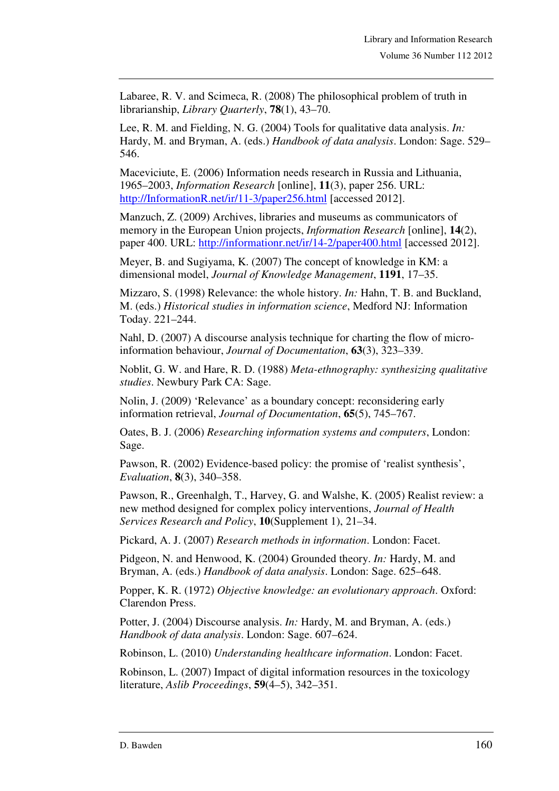Labaree, R. V. and Scimeca, R. (2008) The philosophical problem of truth in librarianship, *Library Quarterly*, **78**(1), 43–70.

Lee, R. M. and Fielding, N. G. (2004) Tools for qualitative data analysis. *In:* Hardy, M. and Bryman, A. (eds.) *Handbook of data analysis*. London: Sage. 529– 546.

Maceviciute, E. (2006) Information needs research in Russia and Lithuania, 1965–2003, *Information Research* [online], **11**(3), paper 256. URL: http://InformationR.net/ir/11-3/paper256.html [accessed 2012].

Manzuch, Z. (2009) Archives, libraries and museums as communicators of memory in the European Union projects, *Information Research* [online], **14**(2), paper 400. URL: http://informationr.net/ir/14-2/paper400.html [accessed 2012].

Meyer, B. and Sugiyama, K. (2007) The concept of knowledge in KM: a dimensional model, *Journal of Knowledge Management*, **1191**, 17–35.

Mizzaro, S. (1998) Relevance: the whole history. *In:* Hahn, T. B. and Buckland, M. (eds.) *Historical studies in information science*, Medford NJ: Information Today. 221–244.

Nahl, D. (2007) A discourse analysis technique for charting the flow of microinformation behaviour, *Journal of Documentation*, **63**(3), 323–339.

Noblit, G. W. and Hare, R. D. (1988) *Meta-ethnography: synthesizing qualitative studies*. Newbury Park CA: Sage.

Nolin, J. (2009) 'Relevance' as a boundary concept: reconsidering early information retrieval, *Journal of Documentation*, **65**(5), 745–767.

Oates, B. J. (2006) *Researching information systems and computers*, London: Sage.

Pawson, R. (2002) Evidence-based policy: the promise of 'realist synthesis', *Evaluation*, **8**(3), 340–358.

Pawson, R., Greenhalgh, T., Harvey, G. and Walshe, K. (2005) Realist review: a new method designed for complex policy interventions, *Journal of Health Services Research and Policy*, **10**(Supplement 1), 21–34.

Pickard, A. J. (2007) *Research methods in information*. London: Facet.

Pidgeon, N. and Henwood, K. (2004) Grounded theory. *In:* Hardy, M. and Bryman, A. (eds.) *Handbook of data analysis*. London: Sage. 625–648.

Popper, K. R. (1972) *Objective knowledge: an evolutionary approach*. Oxford: Clarendon Press.

Potter, J. (2004) Discourse analysis. *In:* Hardy, M. and Bryman, A. (eds.) *Handbook of data analysis*. London: Sage. 607–624.

Robinson, L. (2010) *Understanding healthcare information*. London: Facet.

Robinson, L. (2007) Impact of digital information resources in the toxicology literature, *Aslib Proceedings*, **59**(4–5), 342–351.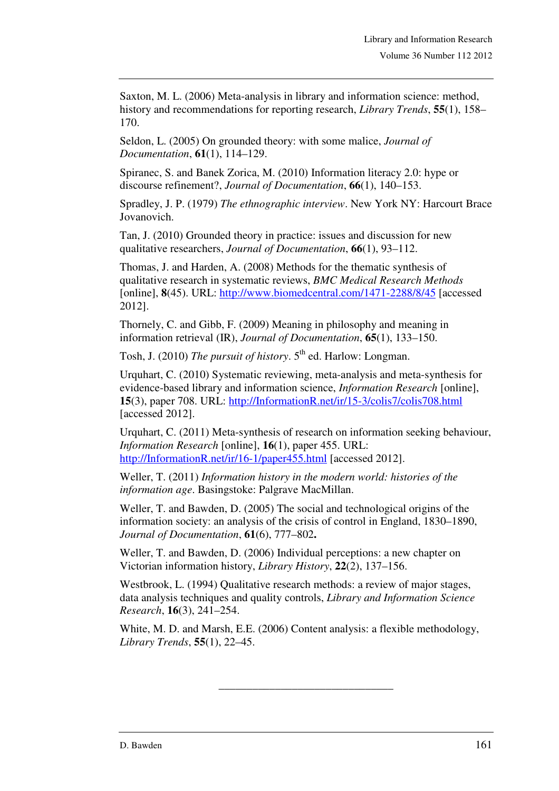Saxton, M. L. (2006) Meta-analysis in library and information science: method, history and recommendations for reporting research, *Library Trends*, **55**(1), 158– 170.

Seldon, L. (2005) On grounded theory: with some malice, *Journal of Documentation*, **61**(1), 114–129.

Spiranec, S. and Banek Zorica, M. (2010) Information literacy 2.0: hype or discourse refinement?, *Journal of Documentation*, **66**(1), 140–153.

Spradley, J. P. (1979) *The ethnographic interview*. New York NY: Harcourt Brace Jovanovich.

Tan, J. (2010) Grounded theory in practice: issues and discussion for new qualitative researchers, *Journal of Documentation*, **66**(1), 93–112.

Thomas, J. and Harden, A. (2008) Methods for the thematic synthesis of qualitative research in systematic reviews, *BMC Medical Research Methods* [online], **8**(45). URL: http://www.biomedcentral.com/1471-2288/8/45 [accessed 2012].

Thornely, C. and Gibb, F. (2009) Meaning in philosophy and meaning in information retrieval (IR), *Journal of Documentation*, **65**(1), 133–150.

Tosh, J. (2010) *The pursuit of history*. 5<sup>th</sup> ed. Harlow: Longman.

Urquhart, C. (2010) Systematic reviewing, meta-analysis and meta-synthesis for evidence-based library and information science, *Information Research* [online], **15**(3), paper 708. URL: http://InformationR.net/ir/15-3/colis7/colis708.html [accessed 2012].

Urquhart, C. (2011) Meta-synthesis of research on information seeking behaviour, *Information Research* [online], **16**(1), paper 455. URL: http://InformationR.net/ir/16-1/paper455.html [accessed 2012].

Weller, T. (2011) *Information history in the modern world: histories of the information age*. Basingstoke: Palgrave MacMillan.

Weller, T. and Bawden, D. (2005) The social and technological origins of the information society: an analysis of the crisis of control in England, 1830–1890, *Journal of Documentation*, **61**(6), 777–802**.**

Weller, T. and Bawden, D. (2006) Individual perceptions: a new chapter on Victorian information history, *Library History*, **22**(2), 137–156.

Westbrook, L. (1994) Qualitative research methods: a review of major stages, data analysis techniques and quality controls, *Library and Information Science Research*, **16**(3), 241–254.

White, M. D. and Marsh, E.E. (2006) Content analysis: a flexible methodology, *Library Trends*, **55**(1), 22–45.

\_\_\_\_\_\_\_\_\_\_\_\_\_\_\_\_\_\_\_\_\_\_\_\_\_\_\_\_\_\_\_